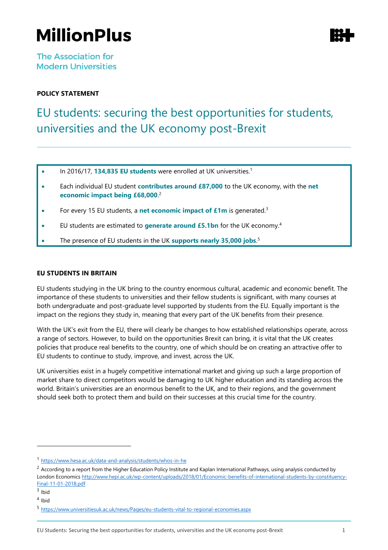# **MillionPlus**

**The Association for Modern Universities** 

### **POLICY STATEMENT**

## EU students: securing the best opportunities for students, universities and the UK economy post-Brexit

- In 2016/17, **134,835 EU students** were enrolled at UK universities.<sup>1</sup>
- Each individual EU student **contributes around £87,000** to the UK economy, with the **net economic impact being £68,000**. 2
- For every 15 EU students, a **net economic impact of £1m** is generated.<sup>3</sup>
- EU students are estimated to **generate around £5.1bn** for the UK economy.<sup>4</sup>
- The presence of EU students in the UK **supports nearly 35,000 jobs**.<sup>5</sup>

#### **EU STUDENTS IN BRITAIN**

EU students studying in the UK bring to the country enormous cultural, academic and economic benefit. The importance of these students to universities and their fellow students is significant, with many courses at both undergraduate and post-graduate level supported by students from the EU. Equally important is the impact on the regions they study in, meaning that every part of the UK benefits from their presence.

With the UK's exit from the EU, there will clearly be changes to how established relationships operate, across a range of sectors. However, to build on the opportunities Brexit can bring, it is vital that the UK creates policies that produce real benefits to the country, one of which should be on creating an attractive offer to EU students to continue to study, improve, and invest, across the UK.

UK universities exist in a hugely competitive international market and giving up such a large proportion of market share to direct competitors would be damaging to UK higher education and its standing across the world. Britain's universities are an enormous benefit to the UK, and to their regions, and the government should seek both to protect them and build on their successes at this crucial time for the country.

<sup>3</sup> Ibid

l

<sup>1</sup> <https://www.hesa.ac.uk/data-and-analysis/students/whos-in-he>

 $2$  According to a report from the Higher Education Policy Institute and Kaplan International Pathways, using analysis conducted by London Economic[s http://www.hepi.ac.uk/wp-content/uploads/2018/01/Economic-benefits-of-international-students-by-constituency-](http://www.hepi.ac.uk/wp-content/uploads/2018/01/Economic-benefits-of-international-students-by-constituency-Final-11-01-2018.pdf)[Final-11-01-2018.pdf](http://www.hepi.ac.uk/wp-content/uploads/2018/01/Economic-benefits-of-international-students-by-constituency-Final-11-01-2018.pdf)

<sup>4</sup> Ibid

<sup>5</sup> <https://www.universitiesuk.ac.uk/news/Pages/eu-students-vital-to-regional-economies.aspx>